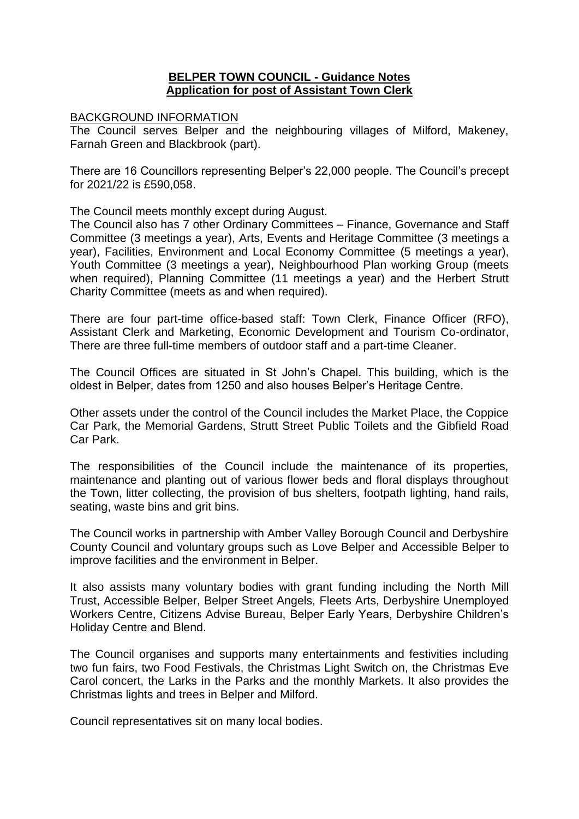## **BELPER TOWN COUNCIL - Guidance Notes Application for post of Assistant Town Clerk**

## BACKGROUND INFORMATION

The Council serves Belper and the neighbouring villages of Milford, Makeney, Farnah Green and Blackbrook (part).

There are 16 Councillors representing Belper's 22,000 people. The Council's precept for 2021/22 is £590,058.

The Council meets monthly except during August.

The Council also has 7 other Ordinary Committees – Finance, Governance and Staff Committee (3 meetings a year), Arts, Events and Heritage Committee (3 meetings a year), Facilities, Environment and Local Economy Committee (5 meetings a year), Youth Committee (3 meetings a year), Neighbourhood Plan working Group (meets when required), Planning Committee (11 meetings a year) and the Herbert Strutt Charity Committee (meets as and when required).

There are four part-time office-based staff: Town Clerk, Finance Officer (RFO), Assistant Clerk and Marketing, Economic Development and Tourism Co-ordinator, There are three full-time members of outdoor staff and a part-time Cleaner.

The Council Offices are situated in St John's Chapel. This building, which is the oldest in Belper, dates from 1250 and also houses Belper's Heritage Centre.

Other assets under the control of the Council includes the Market Place, the Coppice Car Park, the Memorial Gardens, Strutt Street Public Toilets and the Gibfield Road Car Park.

The responsibilities of the Council include the maintenance of its properties, maintenance and planting out of various flower beds and floral displays throughout the Town, litter collecting, the provision of bus shelters, footpath lighting, hand rails, seating, waste bins and grit bins.

The Council works in partnership with Amber Valley Borough Council and Derbyshire County Council and voluntary groups such as Love Belper and Accessible Belper to improve facilities and the environment in Belper.

It also assists many voluntary bodies with grant funding including the North Mill Trust, Accessible Belper, Belper Street Angels, Fleets Arts, Derbyshire Unemployed Workers Centre, Citizens Advise Bureau, Belper Early Years, Derbyshire Children's Holiday Centre and Blend.

The Council organises and supports many entertainments and festivities including two fun fairs, two Food Festivals, the Christmas Light Switch on, the Christmas Eve Carol concert, the Larks in the Parks and the monthly Markets. It also provides the Christmas lights and trees in Belper and Milford.

Council representatives sit on many local bodies.